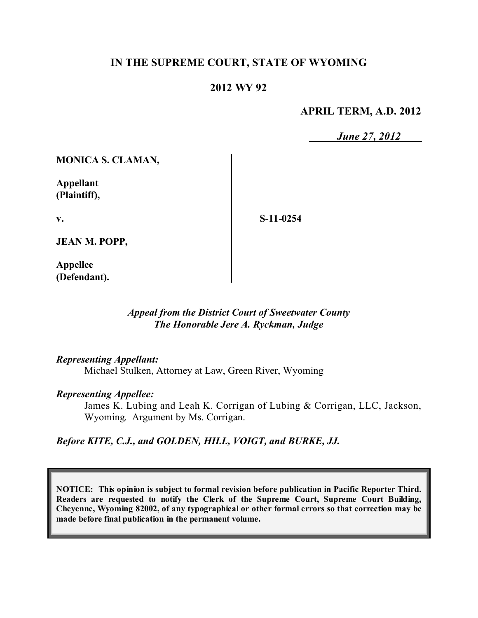### **IN THE SUPREME COURT, STATE OF WYOMING**

### **2012 WY 92**

### **APRIL TERM, A.D. 2012**

*June 27, 2012*

**MONICA S. CLAMAN,**

**Appellant (Plaintiff),**

**v.**

**S-11-0254**

**JEAN M. POPP,**

**Appellee (Defendant).**

### *Appeal from the District Court of Sweetwater County The Honorable Jere A. Ryckman, Judge*

#### *Representing Appellant:*

Michael Stulken, Attorney at Law, Green River, Wyoming

#### *Representing Appellee:*

James K. Lubing and Leah K. Corrigan of Lubing & Corrigan, LLC, Jackson, Wyoming. Argument by Ms. Corrigan.

### *Before KITE, C.J., and GOLDEN, HILL, VOIGT, and BURKE, JJ.*

**NOTICE: This opinion is subject to formal revision before publication in Pacific Reporter Third. Readers are requested to notify the Clerk of the Supreme Court, Supreme Court Building, Cheyenne, Wyoming 82002, of any typographical or other formal errors so that correction may be made before final publication in the permanent volume.**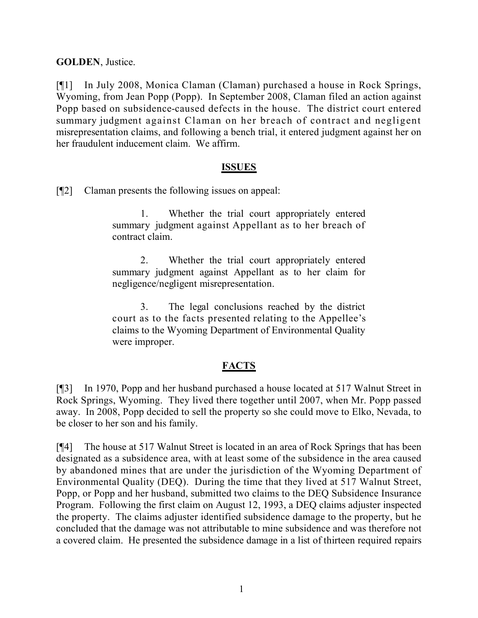**GOLDEN**, Justice.

[¶1] In July 2008, Monica Claman (Claman) purchased a house in Rock Springs, Wyoming, from Jean Popp (Popp). In September 2008, Claman filed an action against Popp based on subsidence-caused defects in the house. The district court entered summary judgment against Claman on her breach of contract and negligent misrepresentation claims, and following a bench trial, it entered judgment against her on her fraudulent inducement claim. We affirm.

### **ISSUES**

[¶2] Claman presents the following issues on appeal:

1. Whether the trial court appropriately entered summary judgment against Appellant as to her breach of contract claim.

2. Whether the trial court appropriately entered summary judgment against Appellant as to her claim for negligence/negligent misrepresentation.

3. The legal conclusions reached by the district court as to the facts presented relating to the Appellee's claims to the Wyoming Department of Environmental Quality were improper.

## **FACTS**

[¶3] In 1970, Popp and her husband purchased a house located at 517 Walnut Street in Rock Springs, Wyoming. They lived there together until 2007, when Mr. Popp passed away. In 2008, Popp decided to sell the property so she could move to Elko, Nevada, to be closer to her son and his family.

[¶4] The house at 517 Walnut Street is located in an area of Rock Springs that has been designated as a subsidence area, with at least some of the subsidence in the area caused by abandoned mines that are under the jurisdiction of the Wyoming Department of Environmental Quality (DEQ). During the time that they lived at 517 Walnut Street, Popp, or Popp and her husband, submitted two claims to the DEQ Subsidence Insurance Program. Following the first claim on August 12, 1993, a DEQ claims adjuster inspected the property. The claims adjuster identified subsidence damage to the property, but he concluded that the damage was not attributable to mine subsidence and was therefore not a covered claim. He presented the subsidence damage in a list of thirteen required repairs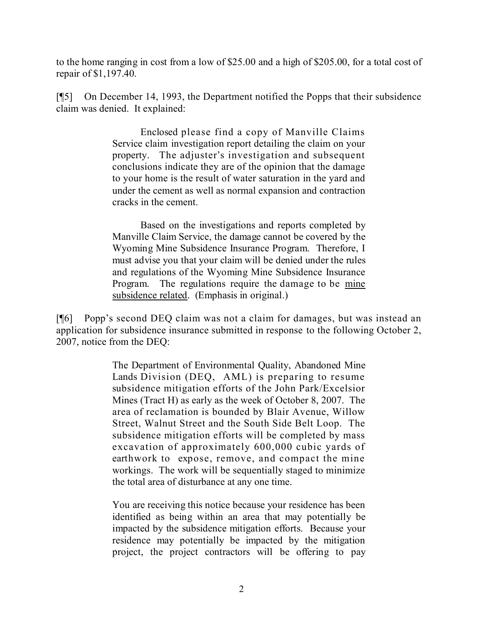to the home ranging in cost from a low of \$25.00 and a high of \$205.00, for a total cost of repair of \$1,197.40.

[¶5] On December 14, 1993, the Department notified the Popps that their subsidence claim was denied. It explained:

> Enclosed please find a copy of Manville Claims Service claim investigation report detailing the claim on your property. The adjuster's investigation and subsequent conclusions indicate they are of the opinion that the damage to your home is the result of water saturation in the yard and under the cement as well as normal expansion and contraction cracks in the cement.

> Based on the investigations and reports completed by Manville Claim Service, the damage cannot be covered by the Wyoming Mine Subsidence Insurance Program. Therefore, I must advise you that your claim will be denied under the rules and regulations of the Wyoming Mine Subsidence Insurance Program. The regulations require the damage to be mine subsidence related. (Emphasis in original.)

[¶6] Popp's second DEQ claim was not a claim for damages, but was instead an application for subsidence insurance submitted in response to the following October 2, 2007, notice from the DEQ:

> The Department of Environmental Quality, Abandoned Mine Lands Division (DEQ, AML) is preparing to resume subsidence mitigation efforts of the John Park/Excelsior Mines (Tract H) as early as the week of October 8, 2007. The area of reclamation is bounded by Blair Avenue, Willow Street, Walnut Street and the South Side Belt Loop. The subsidence mitigation efforts will be completed by mass excavation of approximately 600,000 cubic yards of earthwork to expose, remove, and compact the mine workings. The work will be sequentially staged to minimize the total area of disturbance at any one time.

> You are receiving this notice because your residence has been identified as being within an area that may potentially be impacted by the subsidence mitigation efforts. Because your residence may potentially be impacted by the mitigation project, the project contractors will be offering to pay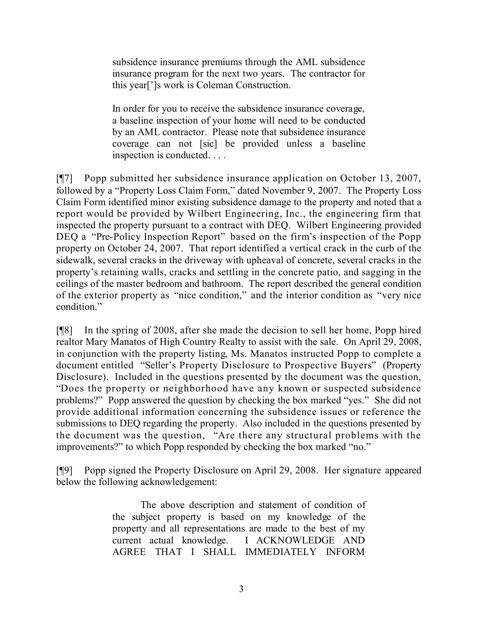subsidence insurance premiums through the AML subsidence insurance program for the next two years. The contractor for this year[']s work is Coleman Construction.

In order for you to receive the subsidence insurance coverage, a baseline inspection of your home will need to be conducted by an AML contractor. Please note that subsidence insurance coverage can not [sic] be provided unless a baseline inspection is conducted. . . .

[¶7] Popp submitted her subsidence insurance application on October 13, 2007, followed by a "Property Loss Claim Form," dated November 9, 2007. The Property Loss Claim Form identified minor existing subsidence damage to the property and noted that a report would be provided by Wilbert Engineering, Inc., the engineering firm that inspected the property pursuant to a contract with DEQ. Wilbert Engineering provided DEQ a "Pre-Policy Inspection Report" based on the firm's inspection of the Popp property on October 24, 2007. That report identified a vertical crack in the curb of the sidewalk, several cracks in the driveway with upheaval of concrete, several cracks in the property's retaining walls, cracks and settling in the concrete patio, and sagging in the ceilings of the master bedroom and bathroom. The report described the general condition of the exterior property as "nice condition," and the interior condition as "very nice condition."

[¶8] In the spring of 2008, after she made the decision to sell her home, Popp hired realtor Mary Manatos of High Country Realty to assist with the sale. On April 29, 2008, in conjunction with the property listing, Ms. Manatos instructed Popp to complete a document entitled "Seller's Property Disclosure to Prospective Buyers" (Property Disclosure). Included in the questions presented by the document was the question, "Does the property or neighborhood have any known or suspected subsidence problems?" Popp answered the question by checking the box marked "yes." She did not provide additional information concerning the subsidence issues or reference the submissions to DEQ regarding the property. Also included in the questions presented by the document was the question, "Are there any structural problems with the improvements?" to which Popp responded by checking the box marked "no."

[¶9] Popp signed the Property Disclosure on April 29, 2008. Her signature appeared below the following acknowledgement:

> The above description and statement of condition of the subject property is based on my knowledge of the property and all representations are made to the best of my current actual knowledge. I ACKNOWLEDGE AND AGREE THAT I SHALL IMMEDIATELY INFORM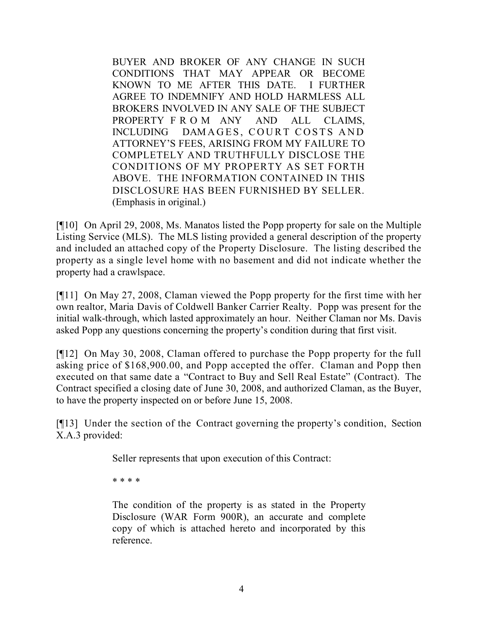BUYER AND BROKER OF ANY CHANGE IN SUCH CONDITIONS THAT MAY APPEAR OR BECOME KNOWN TO ME AFTER THIS DATE. I FURTHER AGREE TO INDEMNIFY AND HOLD HARMLESS ALL BROKERS INVOLVED IN ANY SALE OF THE SUBJECT PROPERTY F R O M ANY AND ALL CLAIMS, INCLUDING DAMAGES, COURT COSTS AND ATTORNEY'S FEES, ARISING FROM MY FAILURE TO COMPLETELY AND TRUTHFULLY DISCLOSE THE CONDITIONS OF MY PROPERTY AS SET FORTH ABOVE. THE INFORMATION CONTAINED IN THIS DISCLOSURE HAS BEEN FURNISHED BY SELLER. (Emphasis in original.)

[¶10] On April 29, 2008, Ms. Manatos listed the Popp property for sale on the Multiple Listing Service (MLS). The MLS listing provided a general description of the property and included an attached copy of the Property Disclosure. The listing described the property as a single level home with no basement and did not indicate whether the property had a crawlspace.

[¶11] On May 27, 2008, Claman viewed the Popp property for the first time with her own realtor, Maria Davis of Coldwell Banker Carrier Realty. Popp was present for the initial walk-through, which lasted approximately an hour. Neither Claman nor Ms. Davis asked Popp any questions concerning the property's condition during that first visit.

[¶12] On May 30, 2008, Claman offered to purchase the Popp property for the full asking price of \$168,900.00, and Popp accepted the offer. Claman and Popp then executed on that same date a "Contract to Buy and Sell Real Estate" (Contract). The Contract specified a closing date of June 30, 2008, and authorized Claman, as the Buyer, to have the property inspected on or before June 15, 2008.

[¶13] Under the section of the Contract governing the property's condition, Section X.A.3 provided:

Seller represents that upon execution of this Contract:

\* \* \* \*

The condition of the property is as stated in the Property Disclosure (WAR Form 900R), an accurate and complete copy of which is attached hereto and incorporated by this reference.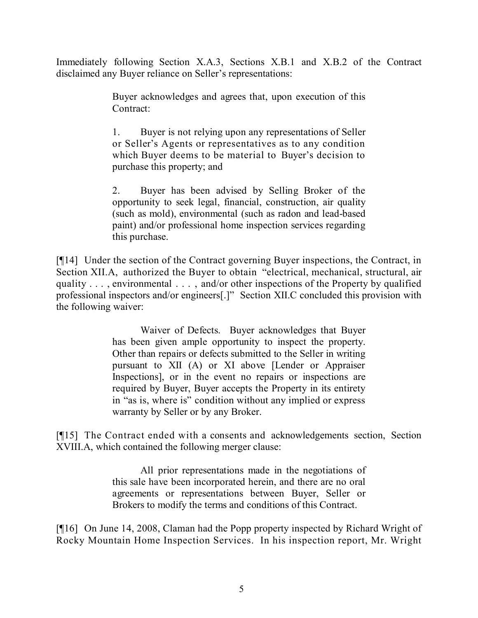Immediately following Section X.A.3, Sections X.B.1 and X.B.2 of the Contract disclaimed any Buyer reliance on Seller's representations:

> Buyer acknowledges and agrees that, upon execution of this Contract:

> 1. Buyer is not relying upon any representations of Seller or Seller's Agents or representatives as to any condition which Buyer deems to be material to Buyer's decision to purchase this property; and

> 2. Buyer has been advised by Selling Broker of the opportunity to seek legal, financial, construction, air quality (such as mold), environmental (such as radon and lead-based paint) and/or professional home inspection services regarding this purchase.

[¶14] Under the section of the Contract governing Buyer inspections, the Contract, in Section XII.A, authorized the Buyer to obtain "electrical, mechanical, structural, air quality . . . , environmental . . . , and/or other inspections of the Property by qualified professional inspectors and/or engineers[.]" Section XII.C concluded this provision with the following waiver:

> Waiver of Defects. Buyer acknowledges that Buyer has been given ample opportunity to inspect the property. Other than repairs or defects submitted to the Seller in writing pursuant to XII (A) or XI above [Lender or Appraiser Inspections], or in the event no repairs or inspections are required by Buyer, Buyer accepts the Property in its entirety in "as is, where is" condition without any implied or express warranty by Seller or by any Broker.

[¶15] The Contract ended with a consents and acknowledgements section, Section XVIII.A, which contained the following merger clause:

> All prior representations made in the negotiations of this sale have been incorporated herein, and there are no oral agreements or representations between Buyer, Seller or Brokers to modify the terms and conditions of this Contract.

[¶16] On June 14, 2008, Claman had the Popp property inspected by Richard Wright of Rocky Mountain Home Inspection Services. In his inspection report, Mr. Wright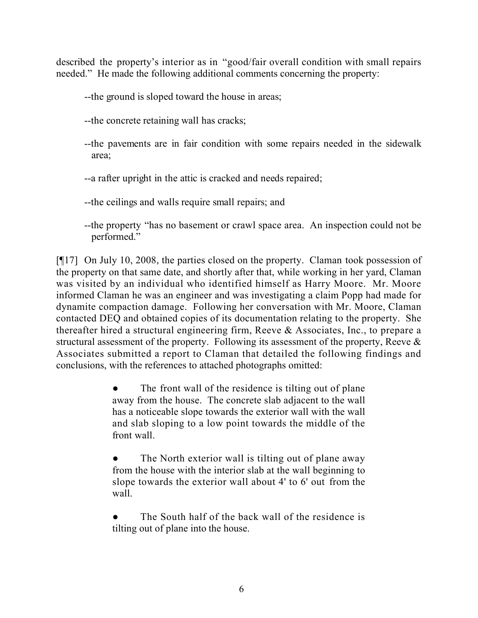described the property's interior as in "good/fair overall condition with small repairs needed." He made the following additional comments concerning the property:

--the ground is sloped toward the house in areas;

--the concrete retaining wall has cracks;

--the pavements are in fair condition with some repairs needed in the sidewalk area;

--a rafter upright in the attic is cracked and needs repaired;

--the ceilings and walls require small repairs; and

--the property "has no basement or crawl space area. An inspection could not be performed."

[¶17] On July 10, 2008, the parties closed on the property. Claman took possession of the property on that same date, and shortly after that, while working in her yard, Claman was visited by an individual who identified himself as Harry Moore. Mr. Moore informed Claman he was an engineer and was investigating a claim Popp had made for dynamite compaction damage. Following her conversation with Mr. Moore, Claman contacted DEQ and obtained copies of its documentation relating to the property. She thereafter hired a structural engineering firm, Reeve & Associates, Inc., to prepare a structural assessment of the property. Following its assessment of the property, Reeve & Associates submitted a report to Claman that detailed the following findings and conclusions, with the references to attached photographs omitted:

> The front wall of the residence is tilting out of plane away from the house. The concrete slab adjacent to the wall has a noticeable slope towards the exterior wall with the wall and slab sloping to a low point towards the middle of the front wall.

> The North exterior wall is tilting out of plane away from the house with the interior slab at the wall beginning to slope towards the exterior wall about 4' to 6' out from the wall.

> The South half of the back wall of the residence is tilting out of plane into the house.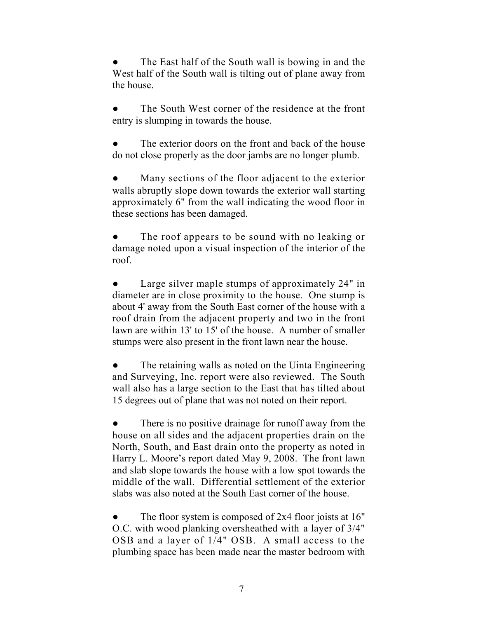The East half of the South wall is bowing in and the West half of the South wall is tilting out of plane away from the house.

The South West corner of the residence at the front entry is slumping in towards the house.

The exterior doors on the front and back of the house do not close properly as the door jambs are no longer plumb.

Many sections of the floor adjacent to the exterior walls abruptly slope down towards the exterior wall starting approximately 6" from the wall indicating the wood floor in these sections has been damaged.

The roof appears to be sound with no leaking or damage noted upon a visual inspection of the interior of the roof.

Large silver maple stumps of approximately 24" in diameter are in close proximity to the house. One stump is about 4' away from the South East corner of the house with a roof drain from the adjacent property and two in the front lawn are within 13' to 15' of the house. A number of smaller stumps were also present in the front lawn near the house.

The retaining walls as noted on the Uinta Engineering and Surveying, Inc. report were also reviewed. The South wall also has a large section to the East that has tilted about 15 degrees out of plane that was not noted on their report.

There is no positive drainage for runoff away from the house on all sides and the adjacent properties drain on the North, South, and East drain onto the property as noted in Harry L. Moore's report dated May 9, 2008. The front lawn and slab slope towards the house with a low spot towards the middle of the wall. Differential settlement of the exterior slabs was also noted at the South East corner of the house.

The floor system is composed of  $2x4$  floor joists at 16" O.C. with wood planking oversheathed with a layer of 3/4" OSB and a layer of 1/4" OSB. A small access to the plumbing space has been made near the master bedroom with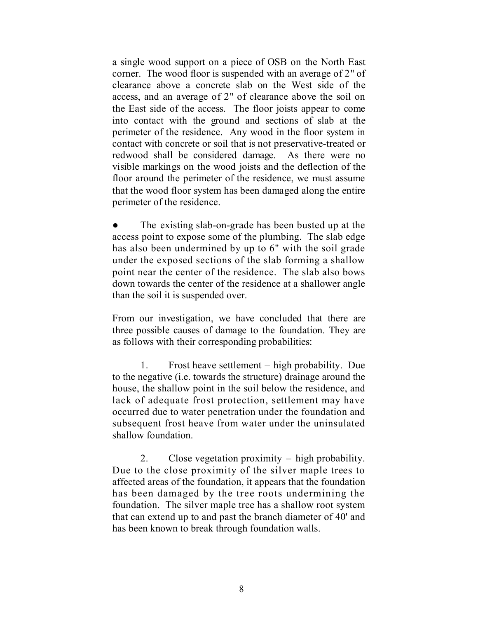a single wood support on a piece of OSB on the North East corner. The wood floor is suspended with an average of 2" of clearance above a concrete slab on the West side of the access, and an average of 2" of clearance above the soil on the East side of the access. The floor joists appear to come into contact with the ground and sections of slab at the perimeter of the residence. Any wood in the floor system in contact with concrete or soil that is not preservative-treated or redwood shall be considered damage. As there were no visible markings on the wood joists and the deflection of the floor around the perimeter of the residence, we must assume that the wood floor system has been damaged along the entire perimeter of the residence.

The existing slab-on-grade has been busted up at the access point to expose some of the plumbing. The slab edge has also been undermined by up to 6" with the soil grade under the exposed sections of the slab forming a shallow point near the center of the residence. The slab also bows down towards the center of the residence at a shallower angle than the soil it is suspended over.

From our investigation, we have concluded that there are three possible causes of damage to the foundation. They are as follows with their corresponding probabilities:

1. Frost heave settlement – high probability. Due to the negative (i.e. towards the structure) drainage around the house, the shallow point in the soil below the residence, and lack of adequate frost protection, settlement may have occurred due to water penetration under the foundation and subsequent frost heave from water under the uninsulated shallow foundation.

2. Close vegetation proximity – high probability. Due to the close proximity of the silver maple trees to affected areas of the foundation, it appears that the foundation has been damaged by the tree roots undermining the foundation. The silver maple tree has a shallow root system that can extend up to and past the branch diameter of 40' and has been known to break through foundation walls.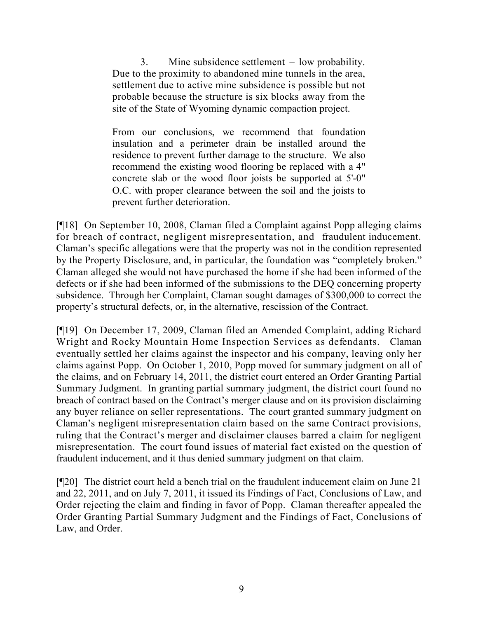3. Mine subsidence settlement – low probability. Due to the proximity to abandoned mine tunnels in the area, settlement due to active mine subsidence is possible but not probable because the structure is six blocks away from the site of the State of Wyoming dynamic compaction project.

From our conclusions, we recommend that foundation insulation and a perimeter drain be installed around the residence to prevent further damage to the structure. We also recommend the existing wood flooring be replaced with a 4" concrete slab or the wood floor joists be supported at 5'-0" O.C. with proper clearance between the soil and the joists to prevent further deterioration.

[¶18] On September 10, 2008, Claman filed a Complaint against Popp alleging claims for breach of contract, negligent misrepresentation, and fraudulent inducement. Claman's specific allegations were that the property was not in the condition represented by the Property Disclosure, and, in particular, the foundation was "completely broken." Claman alleged she would not have purchased the home if she had been informed of the defects or if she had been informed of the submissions to the DEQ concerning property subsidence. Through her Complaint, Claman sought damages of \$300,000 to correct the property's structural defects, or, in the alternative, rescission of the Contract.

[¶19] On December 17, 2009, Claman filed an Amended Complaint, adding Richard Wright and Rocky Mountain Home Inspection Services as defendants. Claman eventually settled her claims against the inspector and his company, leaving only her claims against Popp. On October 1, 2010, Popp moved for summary judgment on all of the claims, and on February 14, 2011, the district court entered an Order Granting Partial Summary Judgment. In granting partial summary judgment, the district court found no breach of contract based on the Contract's merger clause and on its provision disclaiming any buyer reliance on seller representations. The court granted summary judgment on Claman's negligent misrepresentation claim based on the same Contract provisions, ruling that the Contract's merger and disclaimer clauses barred a claim for negligent misrepresentation. The court found issues of material fact existed on the question of fraudulent inducement, and it thus denied summary judgment on that claim.

[¶20] The district court held a bench trial on the fraudulent inducement claim on June 21 and 22, 2011, and on July 7, 2011, it issued its Findings of Fact, Conclusions of Law, and Order rejecting the claim and finding in favor of Popp. Claman thereafter appealed the Order Granting Partial Summary Judgment and the Findings of Fact, Conclusions of Law, and Order.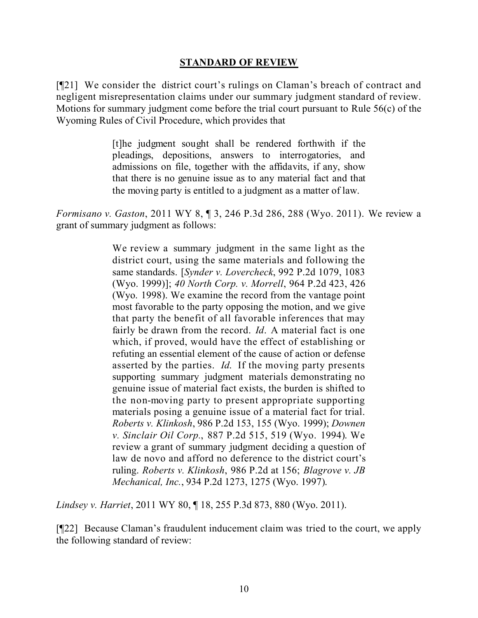#### **STANDARD OF REVIEW**

[¶21] We consider the district court's rulings on Claman's breach of contract and negligent misrepresentation claims under our summary judgment standard of review. Motions for summary judgment come before the trial court pursuant to Rule 56(c) of the Wyoming Rules of Civil Procedure, which provides that

> [t]he judgment sought shall be rendered forthwith if the pleadings, depositions, answers to interrogatories, and admissions on file, together with the affidavits, if any, show that there is no genuine issue as to any material fact and that the moving party is entitled to a judgment as a matter of law.

*Formisano v. Gaston*, 2011 WY 8, ¶ 3, 246 P.3d 286, 288 (Wyo. 2011). We review a grant of summary judgment as follows:

> We review a summary judgment in the same light as the district court, using the same materials and following the same standards. [*Synder v. Lovercheck*, 992 P.2d 1079, 1083 (Wyo. 1999)]; *40 North Corp. v. Morrell*, 964 P.2d 423, 426 (Wyo. 1998). We examine the record from the vantage point most favorable to the party opposing the motion, and we give that party the benefit of all favorable inferences that may fairly be drawn from the record. *Id*. A material fact is one which, if proved, would have the effect of establishing or refuting an essential element of the cause of action or defense asserted by the parties. *Id*. If the moving party presents supporting summary judgment materials demonstrating no genuine issue of material fact exists, the burden is shifted to the non-moving party to present appropriate supporting materials posing a genuine issue of a material fact for trial. *Roberts v. Klinkosh*, 986 P.2d 153, 155 (Wyo. 1999); *Downen v. Sinclair Oil Corp.*, 887 P.2d 515, 519 (Wyo. 1994). We review a grant of summary judgment deciding a question of law de novo and afford no deference to the district court's ruling. *Roberts v. Klinkosh*, 986 P.2d at 156; *Blagrove v. JB Mechanical, Inc.*, 934 P.2d 1273, 1275 (Wyo. 1997).

*Lindsey v. Harriet*, 2011 WY 80, ¶ 18, 255 P.3d 873, 880 (Wyo. 2011).

[¶22] Because Claman's fraudulent inducement claim was tried to the court, we apply the following standard of review: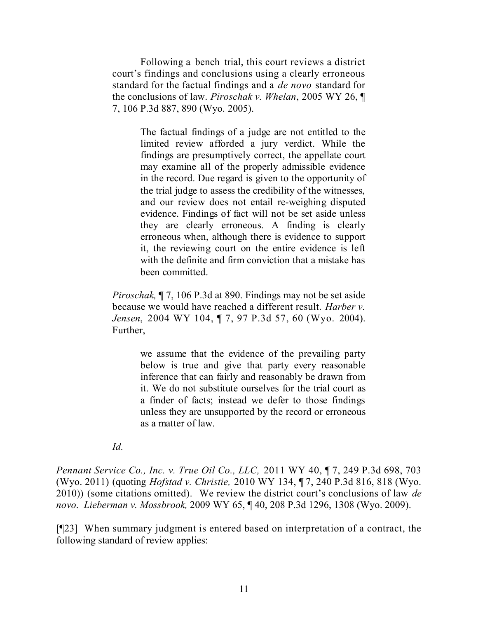Following a bench trial, this court reviews a district court's findings and conclusions using a clearly erroneous standard for the factual findings and a *de novo* standard for the conclusions of law. *Piroschak v. Whelan*, 2005 WY 26, ¶ 7, 106 P.3d 887, 890 (Wyo. 2005).

> The factual findings of a judge are not entitled to the limited review afforded a jury verdict. While the findings are presumptively correct, the appellate court may examine all of the properly admissible evidence in the record. Due regard is given to the opportunity of the trial judge to assess the credibility of the witnesses, and our review does not entail re-weighing disputed evidence. Findings of fact will not be set aside unless they are clearly erroneous. A finding is clearly erroneous when, although there is evidence to support it, the reviewing court on the entire evidence is left with the definite and firm conviction that a mistake has been committed.

*Piroschak,* ¶ 7, 106 P.3d at 890. Findings may not be set aside because we would have reached a different result. *Harber v. Jensen*, 2004 WY 104, ¶ 7, 97 P.3d 57, 60 (Wyo. 2004). Further,

> we assume that the evidence of the prevailing party below is true and give that party every reasonable inference that can fairly and reasonably be drawn from it. We do not substitute ourselves for the trial court as a finder of facts; instead we defer to those findings unless they are unsupported by the record or erroneous as a matter of law.

*Id.*

*Pennant Service Co., Inc. v. True Oil Co., LLC,* 2011 WY 40, ¶ 7, 249 P.3d 698, 703 (Wyo. 2011) (quoting *Hofstad v. Christie,* 2010 WY 134, ¶ 7, 240 P.3d 816, 818 (Wyo. 2010)) (some citations omitted). We review the district court's conclusions of law *de novo*. *Lieberman v. Mossbrook,* 2009 WY 65, ¶ 40, 208 P.3d 1296, 1308 (Wyo. 2009).

[¶23] When summary judgment is entered based on interpretation of a contract, the following standard of review applies: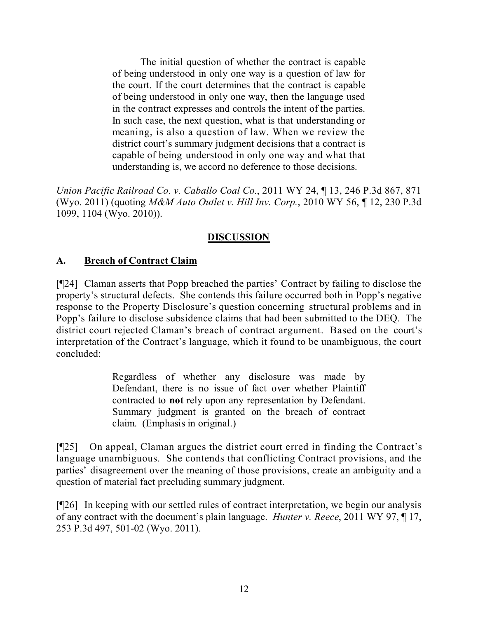The initial question of whether the contract is capable of being understood in only one way is a question of law for the court. If the court determines that the contract is capable of being understood in only one way, then the language used in the contract expresses and controls the intent of the parties. In such case, the next question, what is that understanding or meaning, is also a question of law. When we review the district court's summary judgment decisions that a contract is capable of being understood in only one way and what that understanding is, we accord no deference to those decisions.

*Union Pacific Railroad Co. v. Caballo Coal Co.*, 2011 WY 24, ¶ 13, 246 P.3d 867, 871 (Wyo. 2011) (quoting *M&M Auto Outlet v. Hill Inv. Corp.*, 2010 WY 56, ¶ 12, 230 P.3d 1099, 1104 (Wyo. 2010)).

# **DISCUSSION**

# **A. Breach of Contract Claim**

[¶24] Claman asserts that Popp breached the parties' Contract by failing to disclose the property's structural defects. She contends this failure occurred both in Popp's negative response to the Property Disclosure's question concerning structural problems and in Popp's failure to disclose subsidence claims that had been submitted to the DEQ. The district court rejected Claman's breach of contract argument. Based on the court's interpretation of the Contract's language, which it found to be unambiguous, the court concluded:

> Regardless of whether any disclosure was made by Defendant, there is no issue of fact over whether Plaintiff contracted to **not** rely upon any representation by Defendant. Summary judgment is granted on the breach of contract claim. (Emphasis in original.)

[¶25] On appeal, Claman argues the district court erred in finding the Contract's language unambiguous. She contends that conflicting Contract provisions, and the parties' disagreement over the meaning of those provisions, create an ambiguity and a question of material fact precluding summary judgment.

[¶26] In keeping with our settled rules of contract interpretation, we begin our analysis of any contract with the document's plain language. *Hunter v. Reece*, 2011 WY 97, ¶ 17, 253 P.3d 497, 501-02 (Wyo. 2011).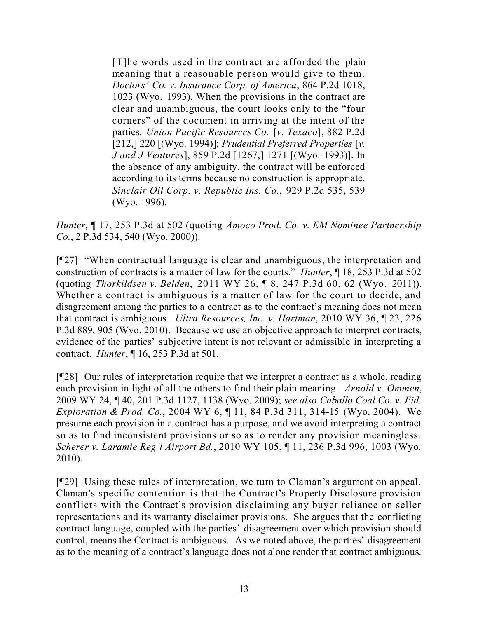[T]he words used in the contract are afforded the plain meaning that a reasonable person would give to them. *Doctors' Co. v. Insurance Corp. of America*, 864 P.2d 1018, 1023 (Wyo. 1993). When the provisions in the contract are clear and unambiguous, the court looks only to the "four corners" of the document in arriving at the intent of the parties. *Union Pacific Resources Co.* [*v. Texaco*], 882 P.2d [212,] 220 [(Wyo. 1994)]; *Prudential Preferred Properties* [*v. J and J Ventures*], 859 P.2d [1267,] 1271 [(Wyo. 1993)]. In the absence of any ambiguity, the contract will be enforced according to its terms because no construction is appropriate. *Sinclair Oil Corp. v. Republic Ins. Co.*, 929 P.2d 535, 539 (Wyo. 1996).

*Hunter*, ¶ 17, 253 P.3d at 502 (quoting *Amoco Prod. Co. v. EM Nominee Partnership Co.*, 2 P.3d 534, 540 (Wyo. 2000)).

[¶27] "When contractual language is clear and unambiguous, the interpretation and construction of contracts is a matter of law for the courts." *Hunter*, ¶ 18, 253 P.3d at 502 (quoting *Thorkildsen v. Belden*, 2011 WY 26, ¶ 8, 247 P.3d 60, 62 (Wyo. 2011)). Whether a contract is ambiguous is a matter of law for the court to decide, and disagreement among the parties to a contract as to the contract's meaning does not mean that contract is ambiguous. *Ultra Resources, Inc. v. Hartman*, 2010 WY 36, ¶ 23, 226 P.3d 889, 905 (Wyo. 2010). Because we use an objective approach to interpret contracts, evidence of the parties' subjective intent is not relevant or admissible in interpreting a contract. *Hunter*, ¶ 16, 253 P.3d at 501.

[¶28] Our rules of interpretation require that we interpret a contract as a whole, reading each provision in light of all the others to find their plain meaning. *Arnold v. Ommen*, 2009 WY 24, ¶ 40, 201 P.3d 1127, 1138 (Wyo. 2009); *see also Caballo Coal Co. v. Fid. Exploration & Prod. Co.*, 2004 WY 6, ¶ 11, 84 P.3d 311, 314-15 (Wyo. 2004). We presume each provision in a contract has a purpose, and we avoid interpreting a contract so as to find inconsistent provisions or so as to render any provision meaningless. *Scherer v. Laramie Reg'l Airport Bd.*, 2010 WY 105, ¶ 11, 236 P.3d 996, 1003 (Wyo. 2010).

[¶29] Using these rules of interpretation, we turn to Claman's argument on appeal. Claman's specific contention is that the Contract's Property Disclosure provision conflicts with the Contract's provision disclaiming any buyer reliance on seller representations and its warranty disclaimer provisions. She argues that the conflicting contract language, coupled with the parties' disagreement over which provision should control, means the Contract is ambiguous. As we noted above, the parties' disagreement as to the meaning of a contract's language does not alone render that contract ambiguous.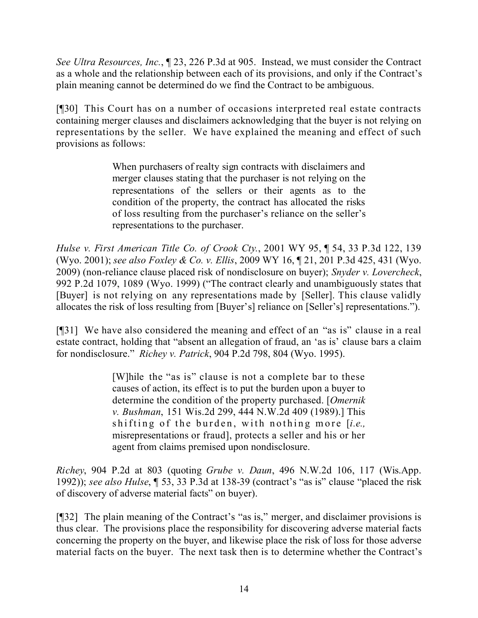*See Ultra Resources, Inc.*, ¶ 23, 226 P.3d at 905. Instead, we must consider the Contract as a whole and the relationship between each of its provisions, and only if the Contract's plain meaning cannot be determined do we find the Contract to be ambiguous.

[¶30] This Court has on a number of occasions interpreted real estate contracts containing merger clauses and disclaimers acknowledging that the buyer is not relying on representations by the seller. We have explained the meaning and effect of such provisions as follows:

> When purchasers of realty sign contracts with disclaimers and merger clauses stating that the purchaser is not relying on the representations of the sellers or their agents as to the condition of the property, the contract has allocated the risks of loss resulting from the purchaser's reliance on the seller's representations to the purchaser.

*Hulse v. First American Title Co. of Crook Cty.*, 2001 WY 95, ¶ 54, 33 P.3d 122, 139 (Wyo. 2001); *see also Foxley & Co. v. Ellis*, 2009 WY 16, ¶ 21, 201 P.3d 425, 431 (Wyo. 2009) (non-reliance clause placed risk of nondisclosure on buyer); *Snyder v. Lovercheck*, 992 P.2d 1079, 1089 (Wyo. 1999) ("The contract clearly and unambiguously states that [Buyer] is not relying on any representations made by [Seller]. This clause validly allocates the risk of loss resulting from [Buyer's] reliance on [Seller's] representations.").

[¶31] We have also considered the meaning and effect of an "as is" clause in a real estate contract, holding that "absent an allegation of fraud, an 'as is' clause bars a claim for nondisclosure." *Richey v. Patrick*, 904 P.2d 798, 804 (Wyo. 1995).

> [W]hile the "as is" clause is not a complete bar to these causes of action, its effect is to put the burden upon a buyer to determine the condition of the property purchased. [*Omernik v. Bushman*, 151 Wis.2d 299, 444 N.W.2d 409 (1989).] This shifting of the burden, with nothing more [*i.e.,* misrepresentations or fraud], protects a seller and his or her agent from claims premised upon nondisclosure.

*Richey*, 904 P.2d at 803 (quoting *Grube v. Daun*, 496 N.W.2d 106, 117 (Wis.App. 1992)); *see also Hulse*, ¶ 53, 33 P.3d at 138-39 (contract's "as is" clause "placed the risk of discovery of adverse material facts" on buyer).

[¶32] The plain meaning of the Contract's "as is," merger, and disclaimer provisions is thus clear. The provisions place the responsibility for discovering adverse material facts concerning the property on the buyer, and likewise place the risk of loss for those adverse material facts on the buyer. The next task then is to determine whether the Contract's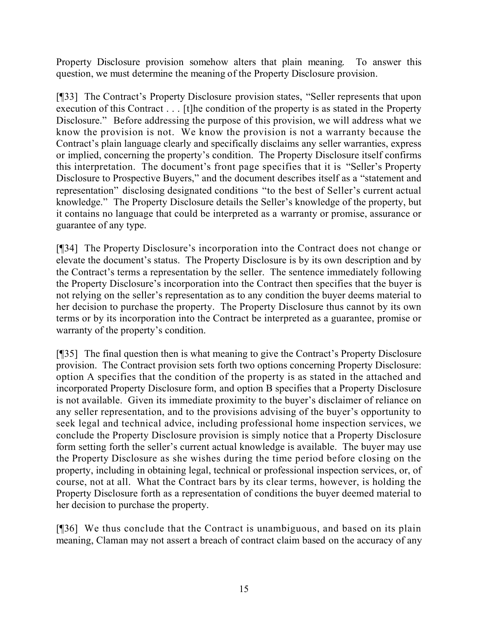Property Disclosure provision somehow alters that plain meaning. To answer this question, we must determine the meaning of the Property Disclosure provision.

[¶33] The Contract's Property Disclosure provision states, "Seller represents that upon execution of this Contract . . . [t]he condition of the property is as stated in the Property Disclosure." Before addressing the purpose of this provision, we will address what we know the provision is not. We know the provision is not a warranty because the Contract's plain language clearly and specifically disclaims any seller warranties, express or implied, concerning the property's condition. The Property Disclosure itself confirms this interpretation. The document's front page specifies that it is "Seller's Property Disclosure to Prospective Buyers," and the document describes itself as a "statement and representation" disclosing designated conditions "to the best of Seller's current actual knowledge." The Property Disclosure details the Seller's knowledge of the property, but it contains no language that could be interpreted as a warranty or promise, assurance or guarantee of any type.

[¶34] The Property Disclosure's incorporation into the Contract does not change or elevate the document's status. The Property Disclosure is by its own description and by the Contract's terms a representation by the seller. The sentence immediately following the Property Disclosure's incorporation into the Contract then specifies that the buyer is not relying on the seller's representation as to any condition the buyer deems material to her decision to purchase the property. The Property Disclosure thus cannot by its own terms or by its incorporation into the Contract be interpreted as a guarantee, promise or warranty of the property's condition.

[¶35] The final question then is what meaning to give the Contract's Property Disclosure provision. The Contract provision sets forth two options concerning Property Disclosure: option A specifies that the condition of the property is as stated in the attached and incorporated Property Disclosure form, and option B specifies that a Property Disclosure is not available. Given its immediate proximity to the buyer's disclaimer of reliance on any seller representation, and to the provisions advising of the buyer's opportunity to seek legal and technical advice, including professional home inspection services, we conclude the Property Disclosure provision is simply notice that a Property Disclosure form setting forth the seller's current actual knowledge is available. The buyer may use the Property Disclosure as she wishes during the time period before closing on the property, including in obtaining legal, technical or professional inspection services, or, of course, not at all. What the Contract bars by its clear terms, however, is holding the Property Disclosure forth as a representation of conditions the buyer deemed material to her decision to purchase the property.

[¶36] We thus conclude that the Contract is unambiguous, and based on its plain meaning, Claman may not assert a breach of contract claim based on the accuracy of any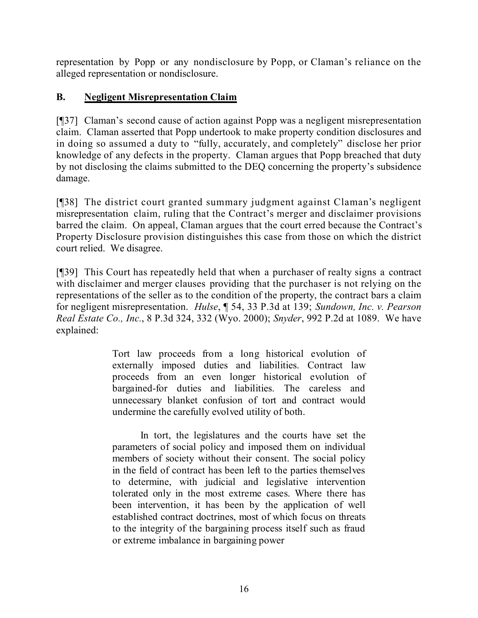representation by Popp or any nondisclosure by Popp, or Claman's reliance on the alleged representation or nondisclosure.

## **B. Negligent Misrepresentation Claim**

[¶37] Claman's second cause of action against Popp was a negligent misrepresentation claim. Claman asserted that Popp undertook to make property condition disclosures and in doing so assumed a duty to "fully, accurately, and completely" disclose her prior knowledge of any defects in the property. Claman argues that Popp breached that duty by not disclosing the claims submitted to the DEQ concerning the property's subsidence damage.

[¶38] The district court granted summary judgment against Claman's negligent misrepresentation claim, ruling that the Contract's merger and disclaimer provisions barred the claim. On appeal, Claman argues that the court erred because the Contract's Property Disclosure provision distinguishes this case from those on which the district court relied. We disagree.

[¶39] This Court has repeatedly held that when a purchaser of realty signs a contract with disclaimer and merger clauses providing that the purchaser is not relying on the representations of the seller as to the condition of the property, the contract bars a claim for negligent misrepresentation. *Hulse*, ¶ 54, 33 P.3d at 139; *Sundown, Inc. v. Pearson Real Estate Co., Inc.*, 8 P.3d 324, 332 (Wyo. 2000); *Snyder*, 992 P.2d at 1089. We have explained:

> Tort law proceeds from a long historical evolution of externally imposed duties and liabilities. Contract law proceeds from an even longer historical evolution of bargained-for duties and liabilities. The careless and unnecessary blanket confusion of tort and contract would undermine the carefully evolved utility of both.

> In tort, the legislatures and the courts have set the parameters of social policy and imposed them on individual members of society without their consent. The social policy in the field of contract has been left to the parties themselves to determine, with judicial and legislative intervention tolerated only in the most extreme cases. Where there has been intervention, it has been by the application of well established contract doctrines, most of which focus on threats to the integrity of the bargaining process itself such as fraud or extreme imbalance in bargaining power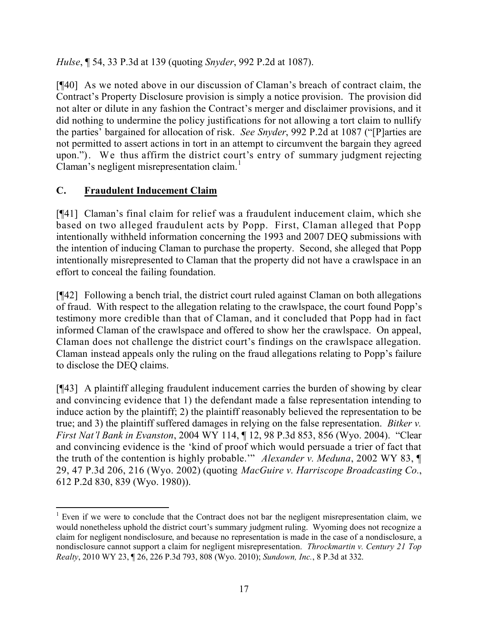*Hulse*, ¶ 54, 33 P.3d at 139 (quoting *Snyder*, 992 P.2d at 1087).

[¶40] As we noted above in our discussion of Claman's breach of contract claim, the Contract's Property Disclosure provision is simply a notice provision. The provision did not alter or dilute in any fashion the Contract's merger and disclaimer provisions, and it did nothing to undermine the policy justifications for not allowing a tort claim to nullify the parties' bargained for allocation of risk. *See Snyder*, 992 P.2d at 1087 ("[P]arties are not permitted to assert actions in tort in an attempt to circumvent the bargain they agreed upon."). We thus affirm the district court's entry of summary judgment rejecting Claman's negligent misrepresentation claim.<sup>1</sup>

# **C. Fraudulent Inducement Claim**

[¶41] Claman's final claim for relief was a fraudulent inducement claim, which she based on two alleged fraudulent acts by Popp. First, Claman alleged that Popp intentionally withheld information concerning the 1993 and 2007 DEQ submissions with the intention of inducing Claman to purchase the property. Second, she alleged that Popp intentionally misrepresented to Claman that the property did not have a crawlspace in an effort to conceal the failing foundation.

[¶42] Following a bench trial, the district court ruled against Claman on both allegations of fraud. With respect to the allegation relating to the crawlspace, the court found Popp's testimony more credible than that of Claman, and it concluded that Popp had in fact informed Claman of the crawlspace and offered to show her the crawlspace. On appeal, Claman does not challenge the district court's findings on the crawlspace allegation. Claman instead appeals only the ruling on the fraud allegations relating to Popp's failure to disclose the DEQ claims.

[¶43] A plaintiff alleging fraudulent inducement carries the burden of showing by clear and convincing evidence that 1) the defendant made a false representation intending to induce action by the plaintiff; 2) the plaintiff reasonably believed the representation to be true; and 3) the plaintiff suffered damages in relying on the false representation. *Bitker v. First Nat'l Bank in Evanston*, 2004 WY 114, ¶ 12, 98 P.3d 853, 856 (Wyo. 2004). "Clear and convincing evidence is the 'kind of proof which would persuade a trier of fact that the truth of the contention is highly probable.'" *Alexander v. Meduna*, 2002 WY 83, ¶ 29, 47 P.3d 206, 216 (Wyo. 2002) (quoting *MacGuire v. Harriscope Broadcasting Co.*, 612 P.2d 830, 839 (Wyo. 1980)).

 $\overline{a}$  $1$  Even if we were to conclude that the Contract does not bar the negligent misrepresentation claim, we would nonetheless uphold the district court's summary judgment ruling. Wyoming does not recognize a claim for negligent nondisclosure, and because no representation is made in the case of a nondisclosure, a nondisclosure cannot support a claim for negligent misrepresentation. *Throckmartin v. Century 21 Top Realty*, 2010 WY 23, ¶ 26, 226 P.3d 793, 808 (Wyo. 2010); *Sundown, Inc.*, 8 P.3d at 332.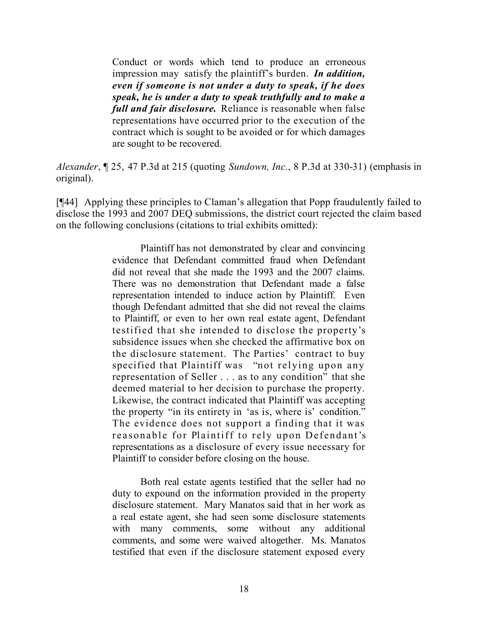Conduct or words which tend to produce an erroneous impression may satisfy the plaintiff's burden. *In addition, even if someone is not under a duty to speak, if he does speak, he is under a duty to speak truthfully and to make a full and fair disclosure.* Reliance is reasonable when false representations have occurred prior to the execution of the contract which is sought to be avoided or for which damages are sought to be recovered.

*Alexander*, ¶ 25, 47 P.3d at 215 (quoting *Sundown, Inc.*, 8 P.3d at 330-31) (emphasis in original).

[¶44] Applying these principles to Claman's allegation that Popp fraudulently failed to disclose the 1993 and 2007 DEQ submissions, the district court rejected the claim based on the following conclusions (citations to trial exhibits omitted):

> Plaintiff has not demonstrated by clear and convincing evidence that Defendant committed fraud when Defendant did not reveal that she made the 1993 and the 2007 claims. There was no demonstration that Defendant made a false representation intended to induce action by Plaintiff. Even though Defendant admitted that she did not reveal the claims to Plaintiff, or even to her own real estate agent, Defendant testified that she intended to disclose the property's subsidence issues when she checked the affirmative box on the disclosure statement. The Parties' contract to buy specified that Plaintiff was "not relying upon any representation of Seller . . . as to any condition" that she deemed material to her decision to purchase the property. Likewise, the contract indicated that Plaintiff was accepting the property "in its entirety in 'as is, where is' condition." The evidence does not support a finding that it was reasonable for Plaintiff to rely upon Defendant's representations as a disclosure of every issue necessary for Plaintiff to consider before closing on the house.

> Both real estate agents testified that the seller had no duty to expound on the information provided in the property disclosure statement. Mary Manatos said that in her work as a real estate agent, she had seen some disclosure statements with many comments, some without any additional comments, and some were waived altogether. Ms. Manatos testified that even if the disclosure statement exposed every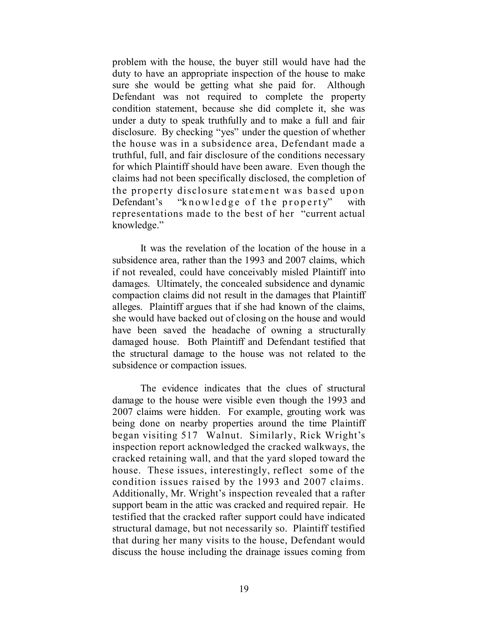problem with the house, the buyer still would have had the duty to have an appropriate inspection of the house to make sure she would be getting what she paid for. Although Defendant was not required to complete the property condition statement, because she did complete it, she was under a duty to speak truthfully and to make a full and fair disclosure. By checking "yes" under the question of whether the house was in a subsidence area, Defendant made a truthful, full, and fair disclosure of the conditions necessary for which Plaintiff should have been aware. Even though the claims had not been specifically disclosed, the completion of the property disclosure statement was based upon Defendant's "knowledge of the property" with representations made to the best of her "current actual knowledge."

It was the revelation of the location of the house in a subsidence area, rather than the 1993 and 2007 claims, which if not revealed, could have conceivably misled Plaintiff into damages. Ultimately, the concealed subsidence and dynamic compaction claims did not result in the damages that Plaintiff alleges. Plaintiff argues that if she had known of the claims, she would have backed out of closing on the house and would have been saved the headache of owning a structurally damaged house. Both Plaintiff and Defendant testified that the structural damage to the house was not related to the subsidence or compaction issues.

The evidence indicates that the clues of structural damage to the house were visible even though the 1993 and 2007 claims were hidden. For example, grouting work was being done on nearby properties around the time Plaintiff began visiting 517 Walnut. Similarly, Rick Wright's inspection report acknowledged the cracked walkways, the cracked retaining wall, and that the yard sloped toward the house. These issues, interestingly, reflect some of the condition issues raised by the 1993 and 2007 claims. Additionally, Mr. Wright's inspection revealed that a rafter support beam in the attic was cracked and required repair. He testified that the cracked rafter support could have indicated structural damage, but not necessarily so. Plaintiff testified that during her many visits to the house, Defendant would discuss the house including the drainage issues coming from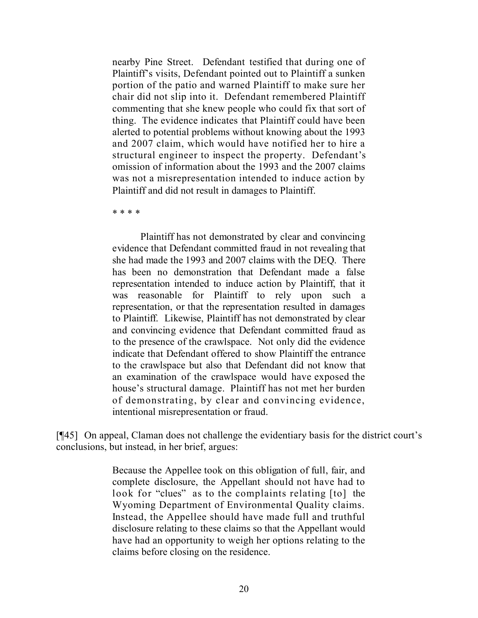nearby Pine Street. Defendant testified that during one of Plaintiff's visits, Defendant pointed out to Plaintiff a sunken portion of the patio and warned Plaintiff to make sure her chair did not slip into it. Defendant remembered Plaintiff commenting that she knew people who could fix that sort of thing. The evidence indicates that Plaintiff could have been alerted to potential problems without knowing about the 1993 and 2007 claim, which would have notified her to hire a structural engineer to inspect the property. Defendant's omission of information about the 1993 and the 2007 claims was not a misrepresentation intended to induce action by Plaintiff and did not result in damages to Plaintiff.

\* \* \* \*

Plaintiff has not demonstrated by clear and convincing evidence that Defendant committed fraud in not revealing that she had made the 1993 and 2007 claims with the DEQ. There has been no demonstration that Defendant made a false representation intended to induce action by Plaintiff, that it was reasonable for Plaintiff to rely upon such a representation, or that the representation resulted in damages to Plaintiff. Likewise, Plaintiff has not demonstrated by clear and convincing evidence that Defendant committed fraud as to the presence of the crawlspace. Not only did the evidence indicate that Defendant offered to show Plaintiff the entrance to the crawlspace but also that Defendant did not know that an examination of the crawlspace would have exposed the house's structural damage. Plaintiff has not met her burden of demonstrating, by clear and convincing evidence, intentional misrepresentation or fraud.

[¶45] On appeal, Claman does not challenge the evidentiary basis for the district court's conclusions, but instead, in her brief, argues:

> Because the Appellee took on this obligation of full, fair, and complete disclosure, the Appellant should not have had to look for "clues" as to the complaints relating [to] the Wyoming Department of Environmental Quality claims. Instead, the Appellee should have made full and truthful disclosure relating to these claims so that the Appellant would have had an opportunity to weigh her options relating to the claims before closing on the residence.